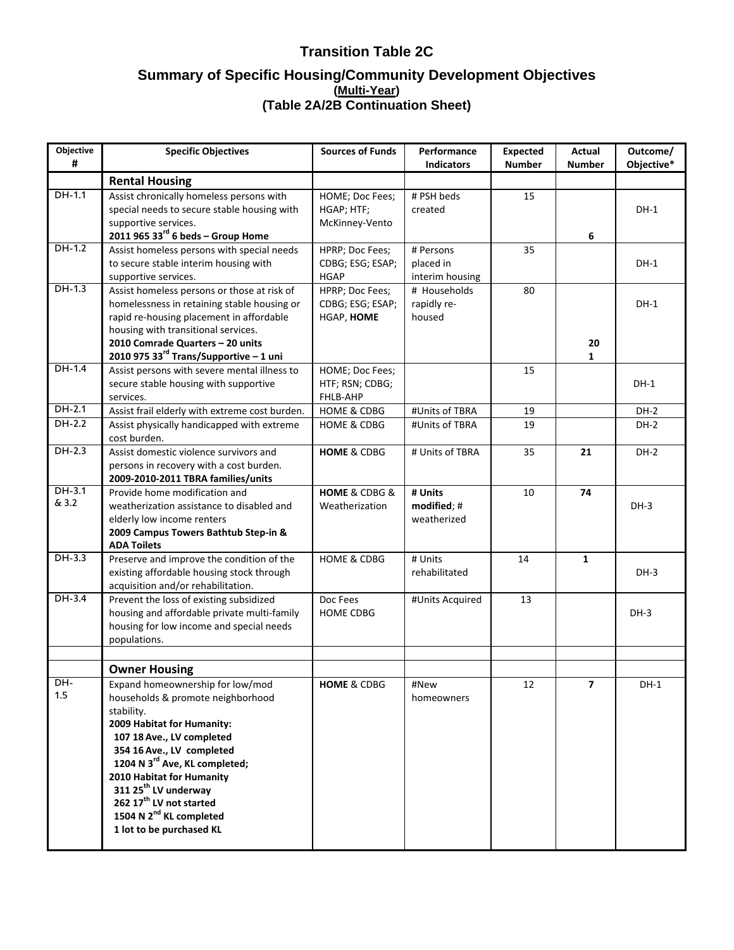| Objective<br>#    | <b>Specific Objectives</b>                                                                                                                                                                                                                                                                                                                                                                          | <b>Sources of Funds</b>                           | Performance<br><b>Indicators</b>      | <b>Expected</b><br><b>Number</b> | Actual<br><b>Number</b> | Outcome/<br>Objective* |
|-------------------|-----------------------------------------------------------------------------------------------------------------------------------------------------------------------------------------------------------------------------------------------------------------------------------------------------------------------------------------------------------------------------------------------------|---------------------------------------------------|---------------------------------------|----------------------------------|-------------------------|------------------------|
|                   | <b>Rental Housing</b>                                                                                                                                                                                                                                                                                                                                                                               |                                                   |                                       |                                  |                         |                        |
| $DH-1.1$          | Assist chronically homeless persons with<br>special needs to secure stable housing with<br>supportive services.<br>2011 965 33 $^{\text{rd}}$ 6 beds - Group Home                                                                                                                                                                                                                                   | HOME; Doc Fees;<br>HGAP; HTF;<br>McKinney-Vento   | # PSH beds<br>created                 | 15                               | 6                       | $DH-1$                 |
| DH-1.2            | Assist homeless persons with special needs                                                                                                                                                                                                                                                                                                                                                          | HPRP; Doc Fees;                                   | # Persons                             | 35                               |                         |                        |
|                   | to secure stable interim housing with<br>supportive services.                                                                                                                                                                                                                                                                                                                                       | CDBG; ESG; ESAP;<br><b>HGAP</b>                   | placed in<br>interim housing          |                                  |                         | DH-1                   |
| $DH-1.3$          | Assist homeless persons or those at risk of<br>homelessness in retaining stable housing or<br>rapid re-housing placement in affordable<br>housing with transitional services.<br>2010 Comrade Quarters - 20 units                                                                                                                                                                                   | HPRP; Doc Fees;<br>CDBG; ESG; ESAP;<br>HGAP, HOME | # Households<br>rapidly re-<br>housed | 80                               | 20                      | $DH-1$                 |
|                   | 2010 975 33 $^{\text{rd}}$ Trans/Supportive - 1 uni                                                                                                                                                                                                                                                                                                                                                 |                                                   |                                       |                                  | 1                       |                        |
| $DH-1.4$          | Assist persons with severe mental illness to<br>secure stable housing with supportive<br>services.                                                                                                                                                                                                                                                                                                  | HOME; Doc Fees;<br>HTF; RSN; CDBG;<br>FHLB-AHP    |                                       | 15                               |                         | $DH-1$                 |
| $DH-2.1$          | Assist frail elderly with extreme cost burden.                                                                                                                                                                                                                                                                                                                                                      | <b>HOME &amp; CDBG</b>                            | #Units of TBRA                        | 19                               |                         | $DH-2$                 |
| $DH-2.2$          | Assist physically handicapped with extreme<br>cost burden.                                                                                                                                                                                                                                                                                                                                          | <b>HOME &amp; CDBG</b>                            | #Units of TBRA                        | 19                               |                         | $DH-2$                 |
| DH-2.3            | Assist domestic violence survivors and<br>persons in recovery with a cost burden.<br>2009-2010-2011 TBRA families/units                                                                                                                                                                                                                                                                             | <b>HOME &amp; CDBG</b>                            | # Units of TBRA                       | 35                               | 21                      | $DH-2$                 |
| $DH-3.1$<br>& 3.2 | Provide home modification and<br>weatherization assistance to disabled and<br>elderly low income renters<br>2009 Campus Towers Bathtub Step-in &<br><b>ADA Toilets</b>                                                                                                                                                                                                                              | HOME & CDBG &<br>Weatherization                   | # Units<br>modified; #<br>weatherized | 10                               | 74                      | $DH-3$                 |
| $DH-3.3$          | Preserve and improve the condition of the<br>existing affordable housing stock through<br>acquisition and/or rehabilitation.                                                                                                                                                                                                                                                                        | <b>HOME &amp; CDBG</b>                            | # Units<br>rehabilitated              | 14                               | $\mathbf{1}$            | $DH-3$                 |
| $DH-3.4$          | Prevent the loss of existing subsidized<br>housing and affordable private multi-family<br>housing for low income and special needs<br>populations.                                                                                                                                                                                                                                                  | Doc Fees<br><b>HOME CDBG</b>                      | #Units Acquired                       | 13                               |                         | $DH-3$                 |
|                   | <b>Owner Housing</b>                                                                                                                                                                                                                                                                                                                                                                                |                                                   |                                       |                                  |                         |                        |
| DH-<br>1.5        | Expand homeownership for low/mod<br>households & promote neighborhood<br>stability.<br>2009 Habitat for Humanity:<br>107 18 Ave., LV completed<br>354 16 Ave., LV completed<br>1204 N 3 <sup>rd</sup> Ave, KL completed;<br>2010 Habitat for Humanity<br>311 25 <sup>th</sup> LV underway<br>262 17 <sup>th</sup> LV not started<br>1504 N 2 <sup>nd</sup> KL completed<br>1 lot to be purchased KL | <b>HOME &amp; CDBG</b>                            | #New<br>homeowners                    | 12                               | $\overline{7}$          | $DH-1$                 |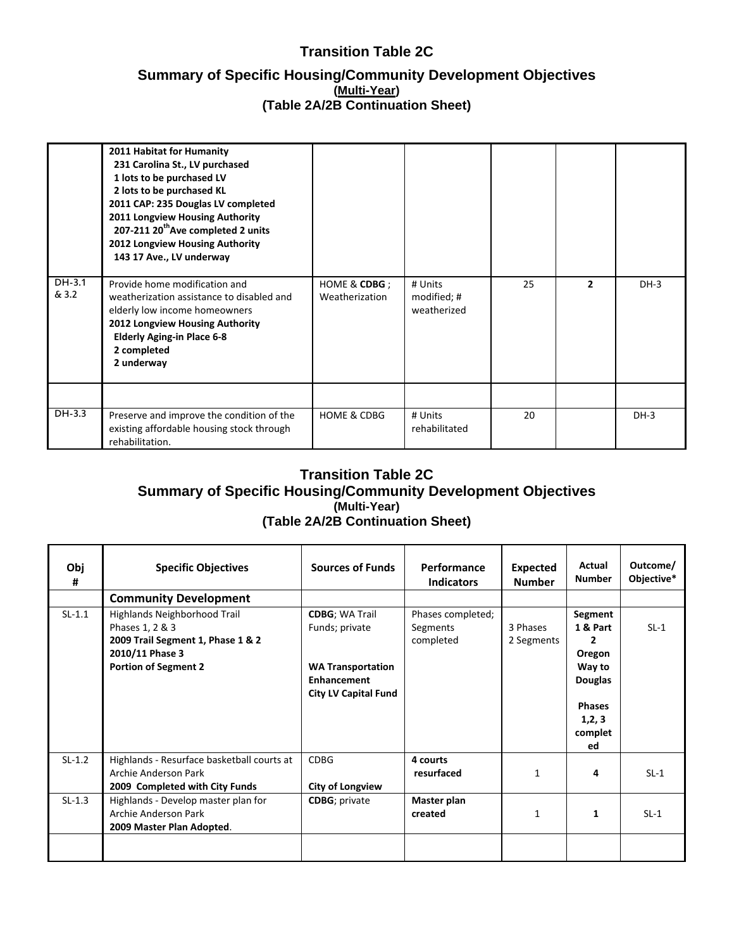#### **Transition Table 2C**

#### **Summary of Specific Housing/Community Development Objectives (Multi-Year) (Table 2A/2B Continuation Sheet)**

|                | 2011 Habitat for Humanity<br>231 Carolina St., LV purchased<br>1 lots to be purchased LV<br>2 lots to be purchased KL<br>2011 CAP: 235 Douglas LV completed<br>2011 Longview Housing Authority<br>207-211 20 <sup>th</sup> Ave completed 2 units<br>2012 Longview Housing Authority<br>143 17 Ave., LV underway |                                |                                       |    |                |        |
|----------------|-----------------------------------------------------------------------------------------------------------------------------------------------------------------------------------------------------------------------------------------------------------------------------------------------------------------|--------------------------------|---------------------------------------|----|----------------|--------|
| DH-3.1<br>&3.2 | Provide home modification and<br>weatherization assistance to disabled and<br>elderly low income homeowners<br>2012 Longview Housing Authority<br><b>Elderly Aging-in Place 6-8</b><br>2 completed<br>2 underway                                                                                                | HOME & CDBG;<br>Weatherization | # Units<br>modified; #<br>weatherized | 25 | $\overline{2}$ | $DH-3$ |
|                |                                                                                                                                                                                                                                                                                                                 |                                |                                       |    |                |        |
| DH-3.3         | Preserve and improve the condition of the<br>existing affordable housing stock through<br>rehabilitation.                                                                                                                                                                                                       | <b>HOME &amp; CDBG</b>         | # Units<br>rehabilitated              | 20 |                | $DH-3$ |

#### **Transition Table 2C Summary of Specific Housing/Community Development Objectives (Multi-Year) (Table 2A/2B Continuation Sheet)**

| Obj<br># | <b>Specific Objectives</b>                                                                                                             | <b>Sources of Funds</b>                                                                                                   | Performance<br><b>Indicators</b>           | <b>Expected</b><br><b>Number</b> | Actual<br><b>Number</b>                                                                                                  | Outcome/<br>Objective* |
|----------|----------------------------------------------------------------------------------------------------------------------------------------|---------------------------------------------------------------------------------------------------------------------------|--------------------------------------------|----------------------------------|--------------------------------------------------------------------------------------------------------------------------|------------------------|
|          | <b>Community Development</b>                                                                                                           |                                                                                                                           |                                            |                                  |                                                                                                                          |                        |
| $SL-1.1$ | Highlands Neighborhood Trail<br>Phases 1, 2 & 3<br>2009 Trail Segment 1, Phase 1 & 2<br>2010/11 Phase 3<br><b>Portion of Segment 2</b> | <b>CDBG</b> ; WA Trail<br>Funds; private<br><b>WA Transportation</b><br><b>Enhancement</b><br><b>City LV Capital Fund</b> | Phases completed;<br>Segments<br>completed | 3 Phases<br>2 Segments           | Segment<br>1 & Part<br>$\overline{2}$<br>Oregon<br>Way to<br><b>Douglas</b><br><b>Phases</b><br>1, 2, 3<br>complet<br>ed | $SL-1$                 |
| $SL-1.2$ | Highlands - Resurface basketball courts at<br>Archie Anderson Park<br>2009 Completed with City Funds                                   | <b>CDBG</b><br><b>City of Longview</b>                                                                                    | 4 courts<br>resurfaced                     | $\mathbf{1}$                     | 4                                                                                                                        | $SL-1$                 |
| $SL-1.3$ | Highlands - Develop master plan for<br>Archie Anderson Park<br>2009 Master Plan Adopted.                                               | <b>CDBG</b> ; private                                                                                                     | Master plan<br>created                     | 1                                | 1                                                                                                                        | $SL-1$                 |
|          |                                                                                                                                        |                                                                                                                           |                                            |                                  |                                                                                                                          |                        |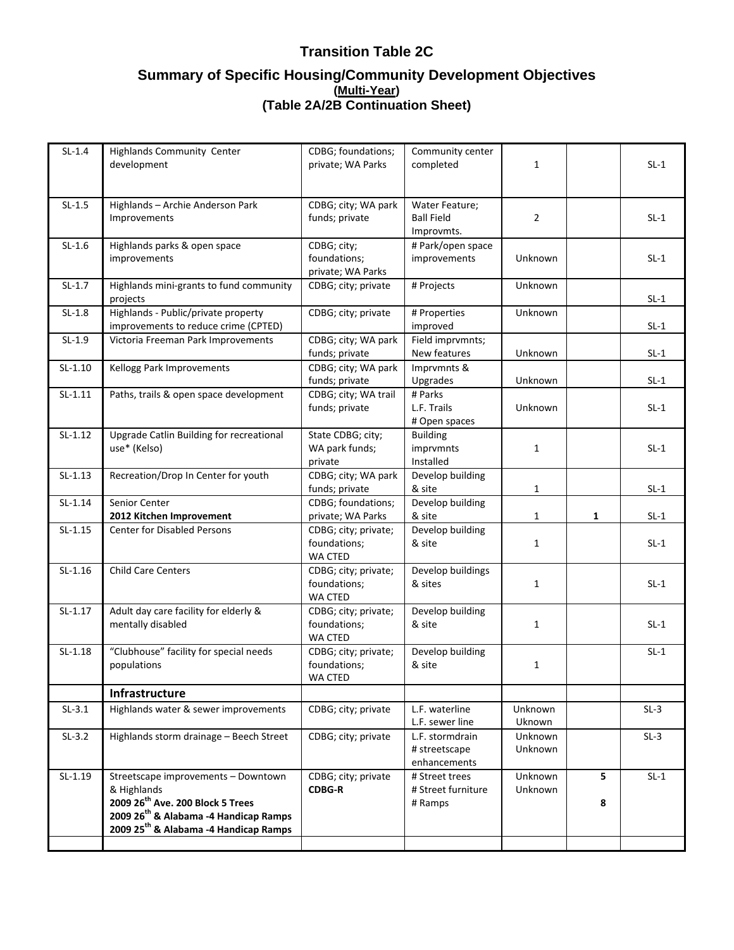| $SL-1.4$  | <b>Highlands Community Center</b><br>development                                                                                                                                                             | CDBG; foundations;<br>private; WA Parks          | Community center<br>completed                     | $\mathbf{1}$             |        | $SL-1$ |
|-----------|--------------------------------------------------------------------------------------------------------------------------------------------------------------------------------------------------------------|--------------------------------------------------|---------------------------------------------------|--------------------------|--------|--------|
|           |                                                                                                                                                                                                              |                                                  |                                                   |                          |        |        |
| $SL-1.5$  | Highlands - Archie Anderson Park<br>Improvements                                                                                                                                                             | CDBG; city; WA park<br>funds; private            | Water Feature;<br><b>Ball Field</b><br>Improvmts. | $\overline{2}$           |        | $SL-1$ |
| $SL-1.6$  | Highlands parks & open space<br>improvements                                                                                                                                                                 | CDBG; city;<br>foundations;<br>private; WA Parks | # Park/open space<br>improvements                 | Unknown                  |        | $SL-1$ |
| $SL-1.7$  | Highlands mini-grants to fund community<br>projects                                                                                                                                                          | CDBG; city; private                              | # Projects                                        | Unknown                  |        | $SL-1$ |
| $SL-1.8$  | Highlands - Public/private property<br>improvements to reduce crime (CPTED)                                                                                                                                  | CDBG; city; private                              | # Properties<br>improved                          | Unknown                  |        | $SL-1$ |
| $SL-1.9$  | Victoria Freeman Park Improvements                                                                                                                                                                           | CDBG; city; WA park<br>funds; private            | Field imprvmnts;<br>New features                  | Unknown                  |        | $SL-1$ |
| $SL-1.10$ | Kellogg Park Improvements                                                                                                                                                                                    | CDBG; city; WA park<br>funds; private            | Imprvmnts &<br>Upgrades                           | Unknown                  |        | $SL-1$ |
| $SL-1.11$ | Paths, trails & open space development                                                                                                                                                                       | CDBG; city; WA trail<br>funds; private           | # Parks<br>L.F. Trails<br># Open spaces           | Unknown                  |        | $SL-1$ |
| $SL-1.12$ | Upgrade Catlin Building for recreational<br>use* (Kelso)                                                                                                                                                     | State CDBG; city;<br>WA park funds;<br>private   | <b>Building</b><br>imprvmnts<br>Installed         | $\mathbf{1}$             |        | $SL-1$ |
| $SL-1.13$ | Recreation/Drop In Center for youth                                                                                                                                                                          | CDBG; city; WA park<br>funds; private            | Develop building<br>& site                        | 1                        |        | $SL-1$ |
| $SL-1.14$ | Senior Center<br>2012 Kitchen Improvement                                                                                                                                                                    | CDBG; foundations;<br>private; WA Parks          | Develop building<br>& site                        | $\mathbf{1}$             | 1      | $SL-1$ |
| $SL-1.15$ | <b>Center for Disabled Persons</b>                                                                                                                                                                           | CDBG; city; private;<br>foundations;<br>WA CTED  | Develop building<br>& site                        | 1                        |        | $SL-1$ |
| $SL-1.16$ | <b>Child Care Centers</b>                                                                                                                                                                                    | CDBG; city; private;<br>foundations;<br>WA CTED  | Develop buildings<br>& sites                      | 1                        |        | $SL-1$ |
| $SL-1.17$ | Adult day care facility for elderly &<br>mentally disabled                                                                                                                                                   | CDBG; city; private;<br>foundations;<br>WA CTED  | Develop building<br>& site                        | $\mathbf{1}$             |        | $SL-1$ |
| $SL-1.18$ | "Clubhouse" facility for special needs<br>populations                                                                                                                                                        | CDBG; city; private;<br>foundations;<br>WA CTED  | Develop building<br>& site                        | 1                        |        | $SL-1$ |
|           | Infrastructure                                                                                                                                                                                               |                                                  |                                                   |                          |        |        |
| $SL-3.1$  | Highlands water & sewer improvements                                                                                                                                                                         | CDBG; city; private                              | L.F. waterline<br>L.F. sewer line                 | Unknown<br><b>Uknown</b> |        | $SL-3$ |
| $SL-3.2$  | Highlands storm drainage - Beech Street                                                                                                                                                                      | CDBG; city; private                              | L.F. stormdrain<br># streetscape<br>enhancements  | Unknown<br>Unknown       |        | $SL-3$ |
| $SL-1.19$ | Streetscape improvements - Downtown<br>& Highlands<br>2009 26 <sup>th</sup> Ave. 200 Block 5 Trees<br>2009 26 <sup>th</sup> & Alabama -4 Handicap Ramps<br>2009 25 <sup>th</sup> & Alabama -4 Handicap Ramps | CDBG; city; private<br><b>CDBG-R</b>             | # Street trees<br># Street furniture<br># Ramps   | Unknown<br>Unknown       | 5<br>8 | $SL-1$ |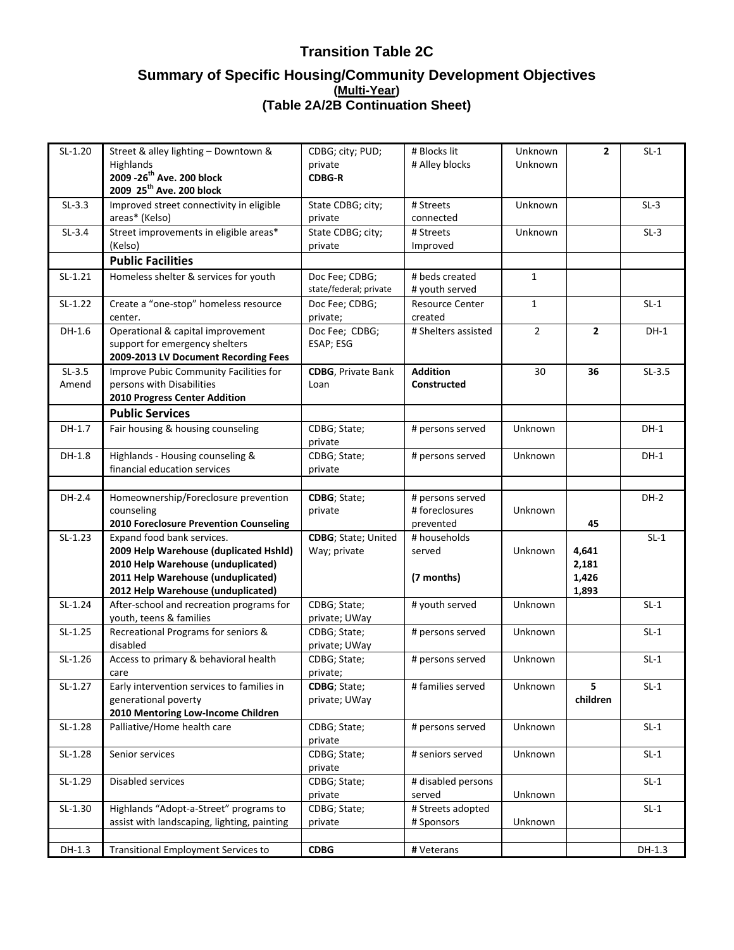| $SL-1.20$         | Street & alley lighting - Downtown &<br>Highlands<br>2009 - 26 <sup>th</sup> Ave. 200 block<br>2009 25 <sup>th</sup> Ave. 200 block                                                    | CDBG; city; PUD;<br>private<br><b>CDBG-R</b> | # Blocks lit<br># Alley blocks       | Unknown<br>Unknown | $\overline{2}$                   | $SL-1$   |
|-------------------|----------------------------------------------------------------------------------------------------------------------------------------------------------------------------------------|----------------------------------------------|--------------------------------------|--------------------|----------------------------------|----------|
| $SL-3.3$          | Improved street connectivity in eligible<br>areas* (Kelso)                                                                                                                             | State CDBG; city;<br>private                 | # Streets<br>connected               | Unknown            |                                  | $SL-3$   |
| $SL-3.4$          | Street improvements in eligible areas*<br>(Kelso)                                                                                                                                      | State CDBG; city;<br>private                 | # Streets<br>Improved                | Unknown            |                                  | $SL-3$   |
|                   | <b>Public Facilities</b>                                                                                                                                                               |                                              |                                      |                    |                                  |          |
| $SL-1.21$         | Homeless shelter & services for youth                                                                                                                                                  | Doc Fee; CDBG;<br>state/federal; private     | # beds created<br># youth served     | $\mathbf{1}$       |                                  |          |
| $SL-1.22$         | Create a "one-stop" homeless resource<br>center.                                                                                                                                       | Doc Fee; CDBG;<br>private;                   | <b>Resource Center</b><br>created    | $\mathbf{1}$       |                                  | $SL-1$   |
| $DH-1.6$          | Operational & capital improvement<br>support for emergency shelters<br>2009-2013 LV Document Recording Fees                                                                            | Doc Fee; CDBG;<br>ESAP; ESG                  | # Shelters assisted                  | $\overline{2}$     | $\overline{2}$                   | $DH-1$   |
| $SL-3.5$<br>Amend | Improve Pubic Community Facilities for<br>persons with Disabilities<br>2010 Progress Center Addition                                                                                   | <b>CDBG</b> , Private Bank<br>Loan           | <b>Addition</b><br>Constructed       | 30                 | 36                               | $SL-3.5$ |
|                   | <b>Public Services</b>                                                                                                                                                                 |                                              |                                      |                    |                                  |          |
| DH-1.7            | Fair housing & housing counseling                                                                                                                                                      | CDBG; State;<br>private                      | # persons served                     | Unknown            |                                  | $DH-1$   |
| $DH-1.8$          | Highlands - Housing counseling &<br>financial education services                                                                                                                       | CDBG; State;<br>private                      | # persons served                     | Unknown            |                                  | $DH-1$   |
| DH-2.4            | Homeownership/Foreclosure prevention                                                                                                                                                   | CDBG; State;                                 | # persons served                     |                    |                                  | $DH-2$   |
|                   | counseling<br>2010 Foreclosure Prevention Counseling                                                                                                                                   | private                                      | # foreclosures<br>prevented          | Unknown            | 45                               |          |
| $SL-1.23$         | Expand food bank services.<br>2009 Help Warehouse (duplicated Hshld)<br>2010 Help Warehouse (unduplicated)<br>2011 Help Warehouse (unduplicated)<br>2012 Help Warehouse (unduplicated) | CDBG; State; United<br>Way; private          | # households<br>served<br>(7 months) | Unknown            | 4,641<br>2,181<br>1,426<br>1,893 | $SL-1$   |
| $SL-1.24$         | After-school and recreation programs for<br>youth, teens & families                                                                                                                    | CDBG; State;<br>private; UWay                | # youth served                       | Unknown            |                                  | $SL-1$   |
| $SL-1.25$         | Recreational Programs for seniors &<br>disabled                                                                                                                                        | CDBG; State;<br>private; UWay                | # persons served                     | Unknown            |                                  | $SL-1$   |
| $SL-1.26$         | Access to primary & behavioral health<br>care                                                                                                                                          | CDBG; State;<br>private;                     | # persons served                     | Unknown            |                                  | $SL-1$   |
| $SL-1.27$         | Early intervention services to families in<br>generational poverty<br>2010 Mentoring Low-Income Children                                                                               | CDBG; State;<br>private; UWay                | # families served                    | Unknown            | 5<br>children                    | $SL-1$   |
| $SL-1.28$         | Palliative/Home health care                                                                                                                                                            | CDBG; State;<br>private                      | # persons served                     | Unknown            |                                  | $SL-1$   |
| $SL-1.28$         | Senior services                                                                                                                                                                        | CDBG; State;<br>private                      | # seniors served                     | Unknown            |                                  | $SL-1$   |
| $SL-1.29$         | Disabled services                                                                                                                                                                      | CDBG; State;<br>private                      | # disabled persons<br>served         | Unknown            |                                  | $SL-1$   |
| $SL-1.30$         | Highlands "Adopt-a-Street" programs to<br>assist with landscaping, lighting, painting                                                                                                  | CDBG; State;<br>private                      | # Streets adopted<br># Sponsors      | Unknown            |                                  | $SL-1$   |
|                   |                                                                                                                                                                                        |                                              |                                      |                    |                                  |          |
| DH-1.3            | <b>Transitional Employment Services to</b>                                                                                                                                             | <b>CDBG</b>                                  | # Veterans                           |                    |                                  | DH-1.3   |